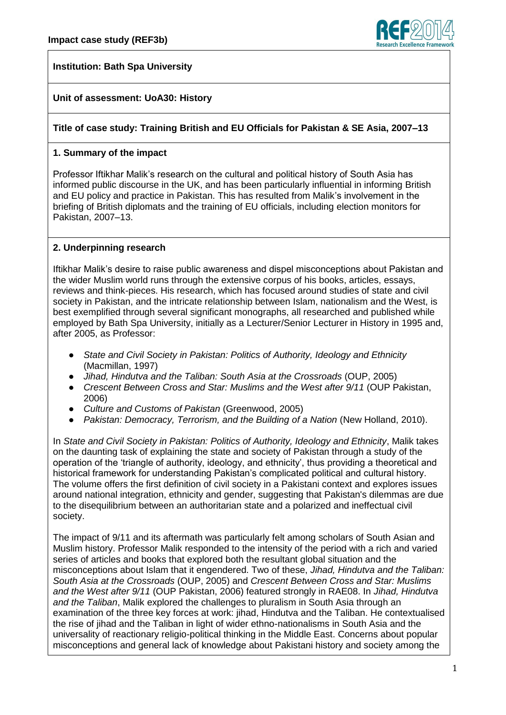

# **Institution: Bath Spa University**

# **Unit of assessment: UoA30: History**

### **Title of case study: Training British and EU Officials for Pakistan & SE Asia, 2007–13**

### **1. Summary of the impact**

Professor Iftikhar Malik's research on the cultural and political history of South Asia has informed public discourse in the UK, and has been particularly influential in informing British and EU policy and practice in Pakistan. This has resulted from Malik's involvement in the briefing of British diplomats and the training of EU officials, including election monitors for Pakistan, 2007–13.

## **2. Underpinning research**

Iftikhar Malik's desire to raise public awareness and dispel misconceptions about Pakistan and the wider Muslim world runs through the extensive corpus of his books, articles, essays, reviews and think-pieces. His research, which has focused around studies of state and civil society in Pakistan, and the intricate relationship between Islam, nationalism and the West, is best exemplified through several significant monographs, all researched and published while employed by Bath Spa University, initially as a Lecturer/Senior Lecturer in History in 1995 and, after 2005, as Professor:

- *State and Civil Society in Pakistan: Politics of Authority, Ideology and Ethnicity* (Macmillan, 1997)
- *Jihad, Hindutva and the Taliban: South Asia at the Crossroads* (OUP, 2005)
- *Crescent Between Cross and Star: Muslims and the West after 9/11* (OUP Pakistan, 2006)
- *Culture and Customs of Pakistan* (Greenwood, 2005)
- *Pakistan: Democracy, Terrorism, and the Building of a Nation* (New Holland, 2010).

In *State and Civil Society in Pakistan: Politics of Authority, Ideology and Ethnicity*, Malik takes on the daunting task of explaining the state and society of Pakistan through a study of the operation of the 'triangle of authority, ideology, and ethnicity', thus providing a theoretical and historical framework for understanding Pakistan's complicated political and cultural history. The volume offers the first definition of civil society in a Pakistani context and explores issues around national integration, ethnicity and gender, suggesting that Pakistan's dilemmas are due to the disequilibrium between an authoritarian state and a polarized and ineffectual civil society.

The impact of 9/11 and its aftermath was particularly felt among scholars of South Asian and Muslim history. Professor Malik responded to the intensity of the period with a rich and varied series of articles and books that explored both the resultant global situation and the misconceptions about Islam that it engendered. Two of these, *Jihad, Hindutva and the Taliban: South Asia at the Crossroads* (OUP, 2005) and *Crescent Between Cross and Star: Muslims and the West after 9/11* (OUP Pakistan, 2006) featured strongly in RAE08. In *Jihad, Hindutva and the Taliban*, Malik explored the challenges to pluralism in South Asia through an examination of the three key forces at work: jihad, Hindutva and the Taliban. He contextualised the rise of jihad and the Taliban in light of wider ethno-nationalisms in South Asia and the universality of reactionary religio-political thinking in the Middle East. Concerns about popular misconceptions and general lack of knowledge about Pakistani history and society among the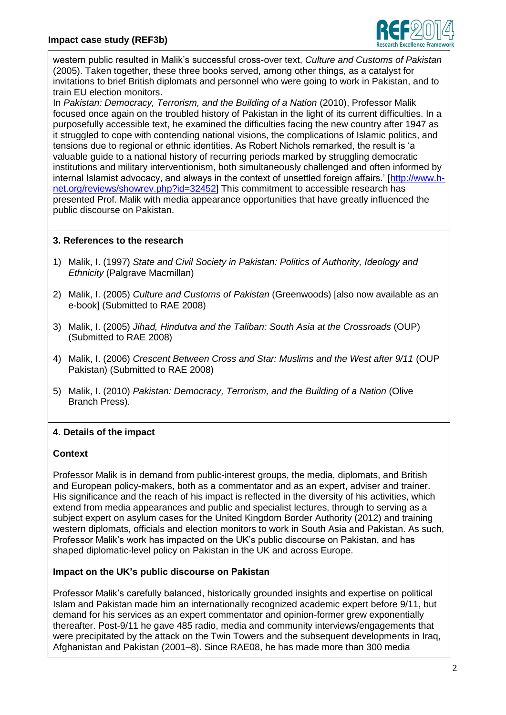

western public resulted in Malik's successful cross-over text, *Culture and Customs of Pakistan* (2005). Taken together, these three books served, among other things, as a catalyst for invitations to brief British diplomats and personnel who were going to work in Pakistan, and to train EU election monitors.

In *Pakistan: Democracy, Terrorism, and the Building of a Nation* (2010), Professor Malik focused once again on the troubled history of Pakistan in the light of its current difficulties. In a purposefully accessible text, he examined the difficulties facing the new country after 1947 as it struggled to cope with contending national visions, the complications of Islamic politics, and tensions due to regional or ethnic identities. As Robert Nichols remarked, the result is 'a valuable guide to a national history of recurring periods marked by struggling democratic institutions and military interventionism, both simultaneously challenged and often informed by internal Islamist advocacy, and always in the context of unsettled foreign affairs.' [\[http://www.h](http://www.h-net.org/reviews/showrev.php?id=32452)[net.org/reviews/showrev.php?id=32452\]](http://www.h-net.org/reviews/showrev.php?id=32452) This commitment to accessible research has presented Prof. Malik with media appearance opportunities that have greatly influenced the public discourse on Pakistan.

## **3. References to the research**

- 1) Malik, I. (1997) *State and Civil Society in Pakistan: Politics of Authority, Ideology and Ethnicity* (Palgrave Macmillan)
- 2) Malik, I. (2005) *Culture and Customs of Pakistan* (Greenwoods) [also now available as an e-book] (Submitted to RAE 2008)
- 3) Malik, I. (2005) *Jihad, Hindutva and the Taliban: South Asia at the Crossroads* (OUP) (Submitted to RAE 2008)
- 4) Malik, I. (2006) *Crescent Between Cross and Star: Muslims and the West after 9/11* (OUP Pakistan) (Submitted to RAE 2008)
- 5) Malik, I. (2010) *Pakistan: Democracy, Terrorism, and the Building of a Nation* (Olive Branch Press).

# **4. Details of the impact**

### **Context**

Professor Malik is in demand from public-interest groups, the media, diplomats, and British and European policy-makers, both as a commentator and as an expert, adviser and trainer. His significance and the reach of his impact is reflected in the diversity of his activities, which extend from media appearances and public and specialist lectures, through to serving as a subject expert on asylum cases for the United Kingdom Border Authority (2012) and training western diplomats, officials and election monitors to work in South Asia and Pakistan. As such, Professor Malik's work has impacted on the UK's public discourse on Pakistan, and has shaped diplomatic-level policy on Pakistan in the UK and across Europe.

### **Impact on the UK's public discourse on Pakistan**

Professor Malik's carefully balanced, historically grounded insights and expertise on political Islam and Pakistan made him an internationally recognized academic expert before 9/11, but demand for his services as an expert commentator and opinion-former grew exponentially thereafter. Post-9/11 he gave 485 radio, media and community interviews/engagements that were precipitated by the attack on the Twin Towers and the subsequent developments in Iraq, Afghanistan and Pakistan (2001–8). Since RAE08, he has made more than 300 media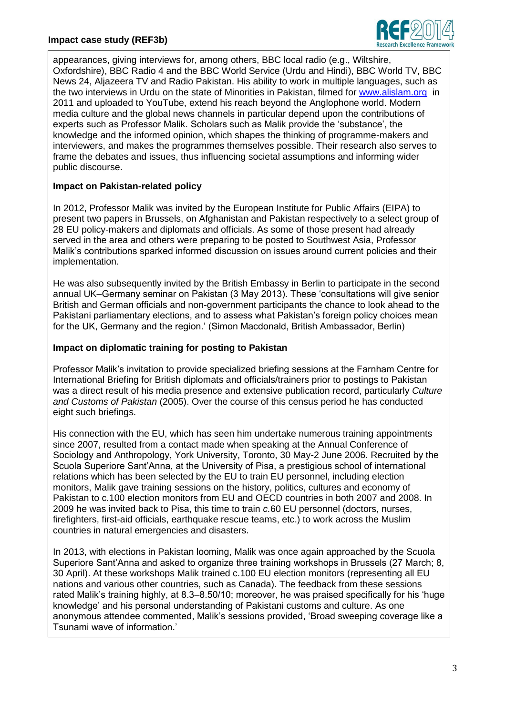

appearances, giving interviews for, among others, BBC local radio (e.g., Wiltshire, Oxfordshire), BBC Radio 4 and the BBC World Service (Urdu and Hindi), BBC World TV, BBC News 24, Aljazeera TV and Radio Pakistan. His ability to work in multiple languages, such as the two interviews in Urdu on the state of Minorities in Pakistan, filmed for [www.alislam.org](http://www.alislam.org/) in 2011 and uploaded to YouTube, extend his reach beyond the Anglophone world. Modern media culture and the global news channels in particular depend upon the contributions of experts such as Professor Malik. Scholars such as Malik provide the 'substance', the knowledge and the informed opinion, which shapes the thinking of programme-makers and interviewers, and makes the programmes themselves possible. Their research also serves to frame the debates and issues, thus influencing societal assumptions and informing wider public discourse.

# **Impact on Pakistan-related policy**

In 2012, Professor Malik was invited by the European Institute for Public Affairs (EIPA) to present two papers in Brussels, on Afghanistan and Pakistan respectively to a select group of 28 EU policy-makers and diplomats and officials. As some of those present had already served in the area and others were preparing to be posted to Southwest Asia, Professor Malik's contributions sparked informed discussion on issues around current policies and their implementation.

He was also subsequently invited by the British Embassy in Berlin to participate in the second annual UK–Germany seminar on Pakistan (3 May 2013). These 'consultations will give senior British and German officials and non-government participants the chance to look ahead to the Pakistani parliamentary elections, and to assess what Pakistan's foreign policy choices mean for the UK, Germany and the region.' (Simon Macdonald, British Ambassador, Berlin)

## **Impact on diplomatic training for posting to Pakistan**

Professor Malik's invitation to provide specialized briefing sessions at the Farnham Centre for International Briefing for British diplomats and officials/trainers prior to postings to Pakistan was a direct result of his media presence and extensive publication record, particularly *Culture and Customs of Pakistan* (2005). Over the course of this census period he has conducted eight such briefings.

His connection with the EU, which has seen him undertake numerous training appointments since 2007, resulted from a contact made when speaking at the Annual Conference of Sociology and Anthropology, York University, Toronto, 30 May-2 June 2006. Recruited by the Scuola Superiore Sant'Anna, at the University of Pisa, a prestigious school of international relations which has been selected by the EU to train EU personnel, including election monitors, Malik gave training sessions on the history, politics, cultures and economy of Pakistan to c.100 election monitors from EU and OECD countries in both 2007 and 2008. In 2009 he was invited back to Pisa, this time to train *c.*60 EU personnel (doctors, nurses, firefighters, first-aid officials, earthquake rescue teams, etc.) to work across the Muslim countries in natural emergencies and disasters.

In 2013, with elections in Pakistan looming, Malik was once again approached by the Scuola Superiore Sant'Anna and asked to organize three training workshops in Brussels (27 March; 8, 30 April). At these workshops Malik trained c.100 EU election monitors (representing all EU nations and various other countries, such as Canada). The feedback from these sessions rated Malik's training highly, at 8.3–8.50/10; moreover, he was praised specifically for his 'huge knowledge' and his personal understanding of Pakistani customs and culture. As one anonymous attendee commented, Malik's sessions provided, 'Broad sweeping coverage like a Tsunami wave of information.'